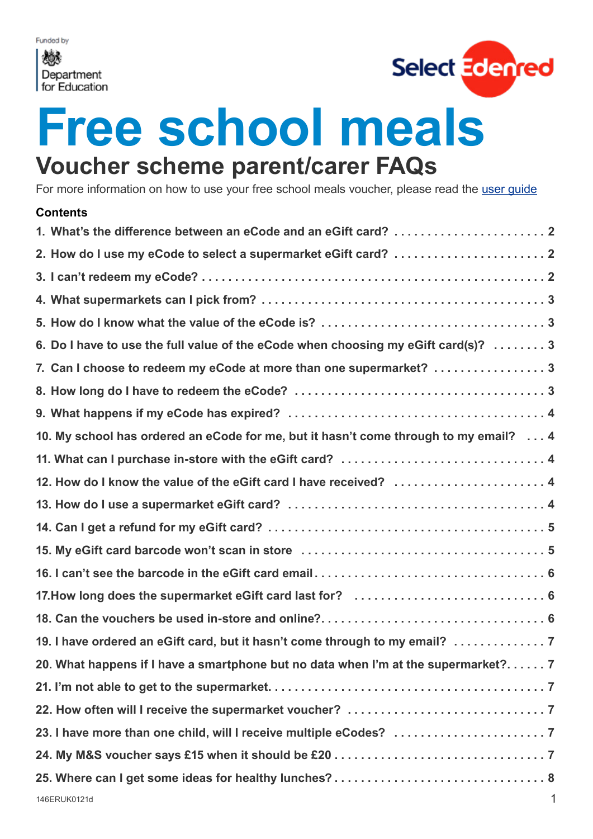<span id="page-0-0"></span>撼 Department<br>for Education



# **Free school meals Voucher scheme parent/carer FAQs**

For more information on how to use your free school meals voucher, please read the [user guide](https://www.edenred.co.uk/Documents/DfE/DfE_FSM-voucher-scheme_Parent-Carer-Userguide.pdf
)

| 2. How do I use my eCode to select a supermarket eGift card?  2                      |   |
|--------------------------------------------------------------------------------------|---|
|                                                                                      |   |
|                                                                                      |   |
|                                                                                      |   |
| 6. Do I have to use the full value of the eCode when choosing my eGift card(s)?  3   |   |
| 7. Can I choose to redeem my eCode at more than one supermarket? 3                   |   |
|                                                                                      |   |
|                                                                                      |   |
| 10. My school has ordered an eCode for me, but it hasn't come through to my email? 4 |   |
| 11. What can I purchase in-store with the eGift card?  4                             |   |
| 12. How do I know the value of the eGift card I have received?  4                    |   |
|                                                                                      |   |
|                                                                                      |   |
|                                                                                      |   |
|                                                                                      |   |
|                                                                                      |   |
|                                                                                      |   |
| 19. I have ordered an eGift card, but it hasn't come through to my email?            |   |
| 20. What happens if I have a smartphone but no data when I'm at the supermarket? 7   |   |
|                                                                                      |   |
|                                                                                      |   |
|                                                                                      |   |
|                                                                                      |   |
|                                                                                      |   |
| 146ERUK0121d                                                                         | 1 |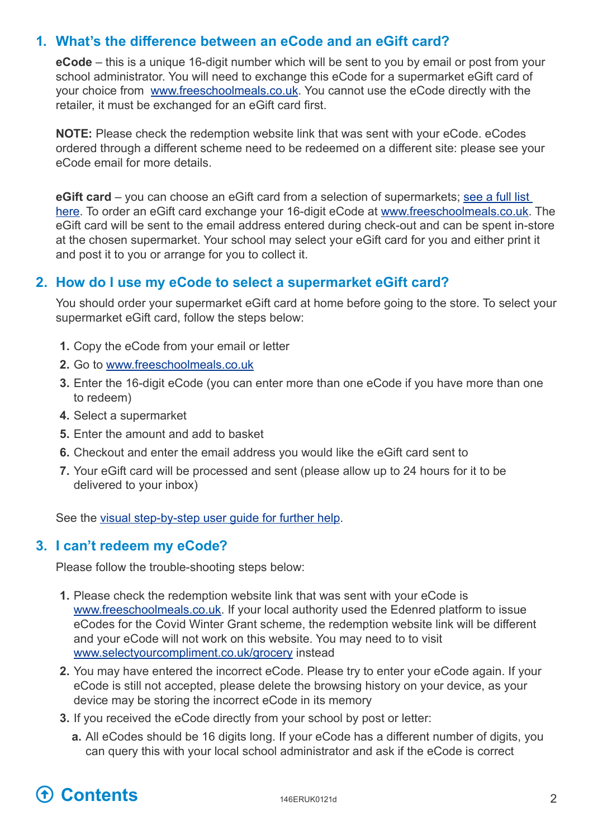## <span id="page-1-0"></span>**1. What's the difference between an eCode and an eGift card?**

**eCode** – this is a unique 16-digit number which will be sent to you by email or post from your school administrator. You will need to exchange this eCode for a supermarket eGift card of your choice from [www.freeschoolmeals.co.uk](http://www.freeschoolmeals.co.uk). You cannot use the eCode directly with the retailer, it must be exchanged for an eGift card first.

**NOTE:** Please check the redemption website link that was sent with your eCode. eCodes ordered through a different scheme need to be redeemed on a different site: please see your eCode email for more details.

**eGift card** – you can choose an eGift card from a selection of supermarkets; see a full list [here](#page-2-1). To order an eGift card exchange your 16-digit eCode at [www.freeschoolmeals.co.uk.](http://www.freeschoolmeals.co.uk) The eGift card will be sent to the email address entered during check-out and can be spent in-store at the chosen supermarket. Your school may select your eGift card for you and either print it and post it to you or arrange for you to collect it.

#### **2. How do I use my eCode to select a supermarket eGift card?**

You should order your supermarket eGift card at home before going to the store. To select your supermarket eGift card, follow the steps below:

- **1.** Copy the eCode from your email or letter
- **2.** Go to [www.freeschoolmeals.co.uk](http://www.freeschoolmeals.co.uk)
- **3.** Enter the 16-digit eCode (you can enter more than one eCode if you have more than one to redeem)
- **4.** Select a supermarket
- **5.** Enter the amount and add to basket
- **6.** Checkout and enter the email address you would like the eGift card sent to
- **7.** Your eGift card will be processed and sent (please allow up to 24 hours for it to be delivered to your inbox)

See the [visual step-by-step user guide for further help](https://www.edenred.co.uk/Documents/DfE/DfE_FSM-voucher-scheme_Parent-Carer-Userguide.pdf).

#### **3. I can't redeem my eCode?**

Please follow the trouble-shooting steps below:

- **1.** Please check the redemption website link that was sent with your eCode is [www.freeschoolmeals.co.uk](http://www.freeschoolmeals.co.uk). If your local authority used the Edenred platform to issue eCodes for the Covid Winter Grant scheme, the redemption website link will be different and your eCode will not work on this website. You may need to to visit [www.selectyourcompliment.co.uk/grocery](https://www.selectyourcompliment.co.uk/grocery) instead
- **2.** You may have entered the incorrect eCode. Please try to enter your eCode again. If your eCode is still not accepted, please delete the browsing history on your device, as your device may be storing the incorrect eCode in its memory
- **3.** If you received the eCode directly from your school by post or letter:
	- **a.** All eCodes should be 16 digits long. If your eCode has a different number of digits, you can query this with your local school administrator and ask if the eCode is correct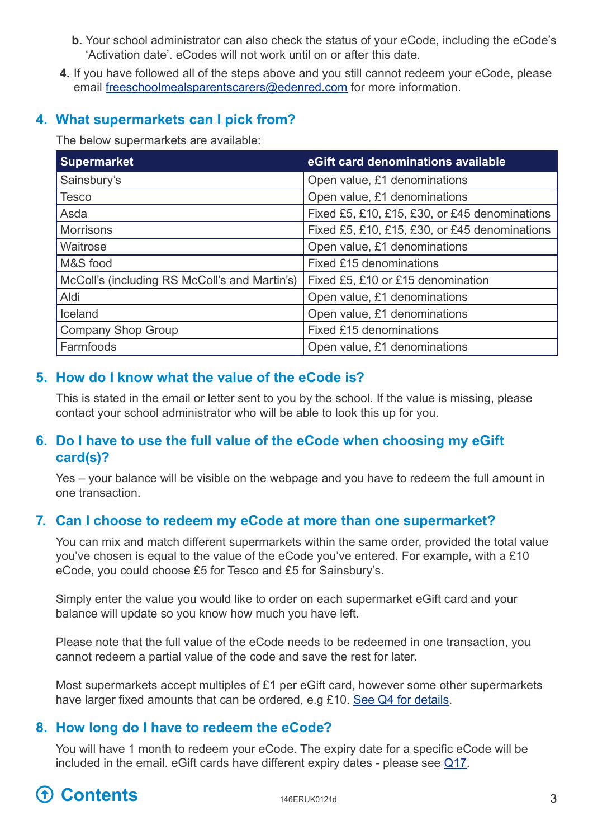- <span id="page-2-0"></span>**b.** Your school administrator can also check the status of your eCode, including the eCode's 'Activation date'. eCodes will not work until on or after this date.
- **4.** If you have followed all of the steps above and you still cannot redeem your eCode, please email [freeschoolmealsparentscarers@edenred.com](mailto:freeschoolmealsparentscarers@edenred.com) for more information.

## **4. What supermarkets can I pick from?**

<span id="page-2-1"></span>The below supermarkets are available:

| <b>Supermarket</b>                            | eGift card denominations available            |  |  |
|-----------------------------------------------|-----------------------------------------------|--|--|
| Sainsbury's                                   | Open value, £1 denominations                  |  |  |
| <b>Tesco</b>                                  | Open value, £1 denominations                  |  |  |
| Asda                                          | Fixed £5, £10, £15, £30, or £45 denominations |  |  |
| <b>Morrisons</b>                              | Fixed £5, £10, £15, £30, or £45 denominations |  |  |
| Waitrose                                      | Open value, £1 denominations                  |  |  |
| M&S food                                      | Fixed £15 denominations                       |  |  |
| McColl's (including RS McColl's and Martin's) | Fixed £5, £10 or £15 denomination             |  |  |
| Aldi                                          | Open value, £1 denominations                  |  |  |
| Iceland                                       | Open value, £1 denominations                  |  |  |
| <b>Company Shop Group</b>                     | <b>Fixed £15 denominations</b>                |  |  |
| Farmfoods                                     | Open value, £1 denominations                  |  |  |

## **5. How do I know what the value of the eCode is?**

This is stated in the email or letter sent to you by the school. If the value is missing, please contact your school administrator who will be able to look this up for you.

# **6. Do I have to use the full value of the eCode when choosing my eGift card(s)?**

Yes – your balance will be visible on the webpage and you have to redeem the full amount in one transaction.

## **7. Can I choose to redeem my eCode at more than one supermarket?**

You can mix and match different supermarkets within the same order, provided the total value you've chosen is equal to the value of the eCode you've entered. For example, with a £10 eCode, you could choose £5 for Tesco and £5 for Sainsbury's.

Simply enter the value you would like to order on each supermarket eGift card and your balance will update so you know how much you have left.

Please note that the full value of the eCode needs to be redeemed in one transaction, you cannot redeem a partial value of the code and save the rest for later.

Most supermarkets accept multiples of £1 per eGift card, however some other supermarkets have larger fixed amounts that can be ordered, e.g £10. [See Q4 for details.](#page-2-1)

# **8. How long do I have to redeem the eCode?**

You will have 1 month to redeem your eCode. The expiry date for a specific eCode will be included in the email. eGift cards have different expiry dates - please see [Q17](#page-5-1).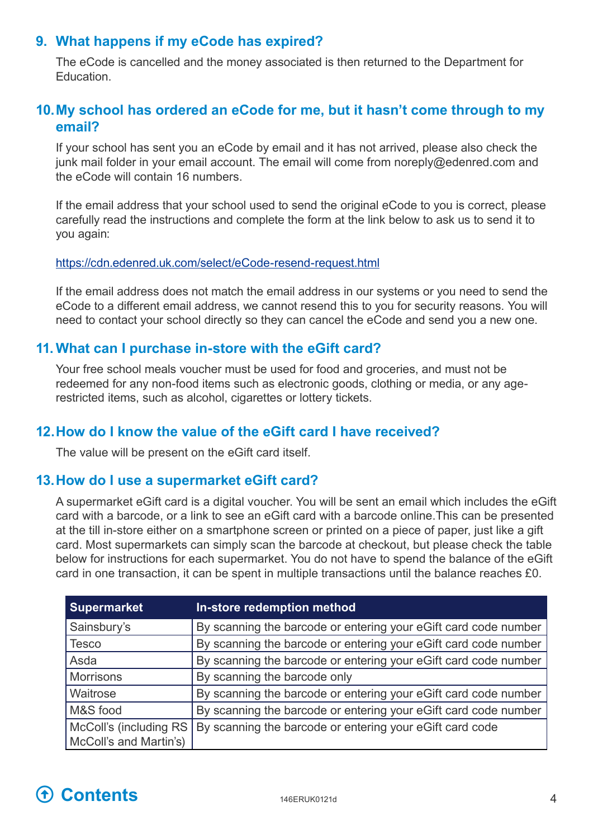#### <span id="page-3-0"></span>**9. What happens if my eCode has expired?**

The eCode is cancelled and the money associated is then returned to the Department for Education.

## **10. My school has ordered an eCode for me, but it hasn't come through to my email?**

If your school has sent you an eCode by email and it has not arrived, please also check the junk mail folder in your email account. The email will come from [noreply@edenred.com](mailto:?subject=) and the eCode will contain 16 numbers.

If the email address that your school used to send the original eCode to you is correct, please carefully read the instructions and complete the form at the link below to ask us to send it to you again:

#### <https://cdn.edenred.uk.com/select/eCode-resend-request.html>

If the email address does not match the email address in our systems or you need to send the eCode to a different email address, we cannot resend this to you for security reasons. You will need to contact your school directly so they can cancel the eCode and send you a new one.

#### **11. What can I purchase in-store with the eGift card?**

Your free school meals voucher must be used for food and groceries, and must not be redeemed for any non-food items such as electronic goods, clothing or media, or any agerestricted items, such as alcohol, cigarettes or lottery tickets.

## **12. How do I know the value of the eGift card I have received?**

<span id="page-3-1"></span>The value will be present on the eGift card itself.

#### **13. How do I use a supermarket eGift card?**

A supermarket eGift card is a digital voucher. You will be sent an email which includes the eGift card with a barcode, or a link to see an eGift card with a barcode online.This can be presented at the till in-store either on a smartphone screen or printed on a piece of paper, just like a gift card. Most supermarkets can simply scan the barcode at checkout, but please check the table below for instructions for each supermarket. You do not have to spend the balance of the eGift card in one transaction, it can be spent in multiple transactions until the balance reaches £0.

| <b>Supermarket</b>                                | In-store redemption method                                      |
|---------------------------------------------------|-----------------------------------------------------------------|
| Sainsbury's                                       | By scanning the barcode or entering your eGift card code number |
| <b>Tesco</b>                                      | By scanning the barcode or entering your eGift card code number |
| Asda                                              | By scanning the barcode or entering your eGift card code number |
| Morrisons                                         | By scanning the barcode only                                    |
| Waitrose                                          | By scanning the barcode or entering your eGift card code number |
| M&S food                                          | By scanning the barcode or entering your eGift card code number |
| McColl's (including RS)<br>McColl's and Martin's) | By scanning the barcode or entering your eGift card code        |

# **[Contents](#page-0-0)** 146ERUK0121d 4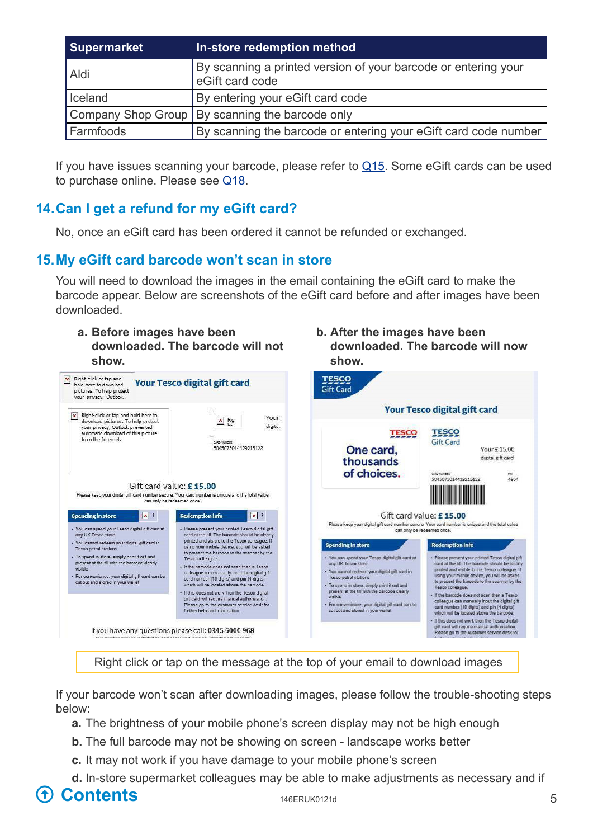<span id="page-4-0"></span>

| <b>Supermarket</b> | In-store redemption method                                                        |
|--------------------|-----------------------------------------------------------------------------------|
| Aldi               | By scanning a printed version of your barcode or entering your<br>eGift card code |
| <b>I</b> celand    | By entering your eGift card code                                                  |
|                    | Company Shop Group   By scanning the barcode only                                 |
| l Farmfoods        | By scanning the barcode or entering your eGift card code number                   |

If you have issues scanning your barcode, please refer to  $Q15$ . Some eGift cards can be used to purchase online. Please see [Q1](#page-5-2)8.

# **14. Can I get a refund for my eGift card?**

No, once an eGift card has been ordered it cannot be refunded or exchanged.

# **15. My eGift card barcode won't scan in store**

You will need to download the images in the email containing the eGift card to make the barcode appear. Below are screenshots of the eGift card before and after images have been downloaded.

**b. After the images have been**

**show.**

**downloaded. The barcode will now**

#### **a. Before images have been downloaded. The barcode will not show.**



Right click or tap on the message at the top of your email to download images

If your barcode won't scan after downloading images, please follow the trouble-shooting steps below:

- **a.** The brightness of your mobile phone's screen display may not be high enough
- **b.** The full barcode may not be showing on screen landscape works better
- **c.** It may not work if you have damage to your mobile phone's screen
- **d.** In-store supermarket colleagues may be able to make adjustments as necessary and if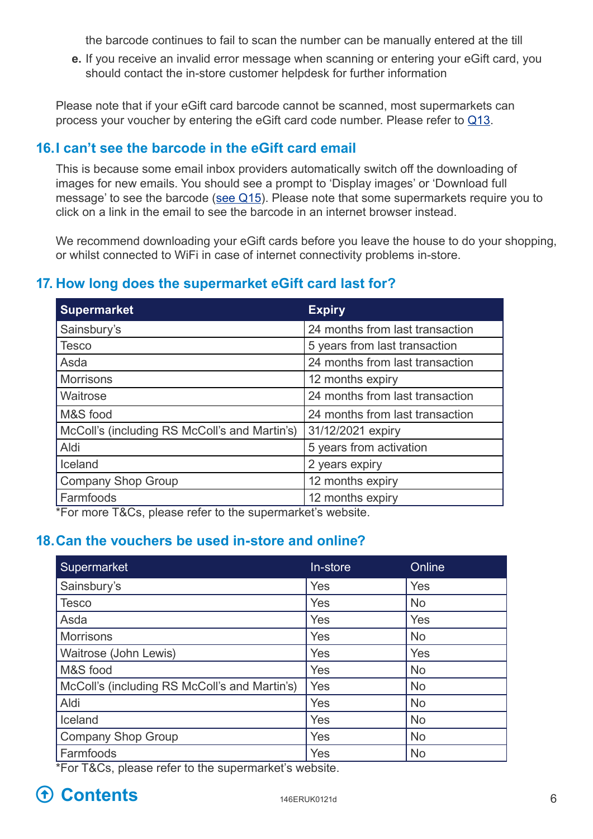the barcode continues to fail to scan the number can be manually entered at the till

<span id="page-5-0"></span>**e.** If you receive an invalid error message when scanning or entering your eGift card, you should contact the in-store customer helpdesk for further information

Please note that if your eGift card barcode cannot be scanned, most supermarkets can process your voucher by entering the eGift card code number. Please refer to [Q13](#page-3-1).

## **16. I can't see the barcode in the eGift card email**

This is because some email inbox providers automatically switch off the downloading of images for new emails. You should see a prompt to 'Display images' or 'Download full message' to see the barcode (see Q15). Please note that some supermarkets require you to click on a link in the email to see the barcode in an internet browser instead.

We recommend downloading your eGift cards before you leave the house to do your shopping, or whilst connected to WiFi in case of internet connectivity problems in-store.

# **17. How long does the supermarket eGift card last for?**

<span id="page-5-1"></span>

| <b>Supermarket</b>                            | <b>Expiry</b>                   |  |
|-----------------------------------------------|---------------------------------|--|
| Sainsbury's                                   | 24 months from last transaction |  |
| <b>Tesco</b>                                  | 5 years from last transaction   |  |
| Asda                                          | 24 months from last transaction |  |
| <b>Morrisons</b>                              | 12 months expiry                |  |
| Waitrose                                      | 24 months from last transaction |  |
| M&S food                                      | 24 months from last transaction |  |
| McColl's (including RS McColl's and Martin's) | 31/12/2021 expiry               |  |
| 5 years from activation<br>Aldi               |                                 |  |
| Iceland                                       | 2 years expiry                  |  |
| <b>Company Shop Group</b>                     | 12 months expiry                |  |
| Farmfoods                                     | 12 months expiry                |  |

<span id="page-5-2"></span>\*For more T&Cs, please refer to the supermarket's website.

## **18. Can the vouchers be used in-store and online?**

| Supermarket                                   | In-store | Online    |
|-----------------------------------------------|----------|-----------|
| Sainsbury's                                   | Yes      | Yes       |
| <b>Tesco</b>                                  | Yes      | <b>No</b> |
| Asda                                          | Yes      | Yes       |
| <b>Morrisons</b>                              | Yes      | <b>No</b> |
| Waitrose (John Lewis)                         | Yes      | Yes       |
| M&S food                                      | Yes      | <b>No</b> |
| McColl's (including RS McColl's and Martin's) | Yes      | <b>No</b> |
| Aldi                                          | Yes      | <b>No</b> |
| Iceland                                       | Yes      | <b>No</b> |
| <b>Company Shop Group</b>                     | Yes      | <b>No</b> |
| Farmfoods                                     | Yes      | <b>No</b> |

\*For T&Cs, please refer to the supermarket's website.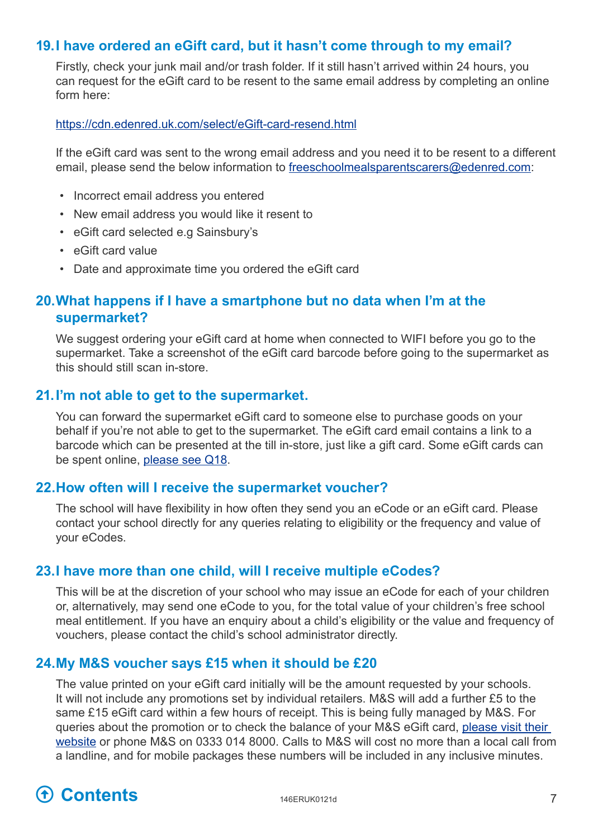## <span id="page-6-0"></span>**19. I have ordered an eGift card, but it hasn't come through to my email?**

Firstly, check your junk mail and/or trash folder. If it still hasn't arrived within 24 hours, you can request for the eGift card to be resent to the same email address by completing an online form here:

#### <https://cdn.edenred.uk.com/select/eGift-card-resend.html>

If the eGift card was sent to the wrong email address and you need it to be resent to a different email, please send the below information to [freeschoolmealsparentscarers@edenred.com](mailto:freeschoolmealsparentscarers%40edenred.com?subject=Select%20eGift%20card%20resend%20request):

- Incorrect email address you entered
- New email address you would like it resent to
- eGift card selected e.g Sainsbury's
- eGift card value
- Date and approximate time you ordered the eGift card

## **20. What happens if I have a smartphone but no data when I'm at the supermarket?**

We suggest ordering your eGift card at home when connected to WIFI before you go to the supermarket. Take a screenshot of the eGift card barcode before going to the supermarket as this should still scan in-store.

#### **21. I'm not able to get to the supermarket.**

You can forward the supermarket eGift card to someone else to purchase goods on your behalf if you're not able to get to the supermarket. The eGift card email contains a link to a barcode which can be presented at the till in-store, just like a gift card. Some eGift cards can be spent online, [please see Q1](#page-5-2)8.

#### **22. How often will I receive the supermarket voucher?**

The school will have flexibility in how often they send you an eCode or an eGift card. Please contact your school directly for any queries relating to eligibility or the frequency and value of your eCodes.

#### **23. I have more than one child, will I receive multiple eCodes?**

This will be at the discretion of your school who may issue an eCode for each of your children or, alternatively, may send one eCode to you, for the total value of your children's free school meal entitlement. If you have an enquiry about a child's eligibility or the value and frequency of vouchers, please contact the child's school administrator directly.

#### **24. My M&S voucher says £15 when it should be £20**

The value printed on your eGift card initially will be the amount requested by your schools. It will not include any promotions set by individual retailers. M&S will add a further £5 to the same £15 eGift card within a few hours of receipt. This is being fully managed by M&S. For queries about the promotion or to check the balance of your M&S eGift card, [please visit their](https://www.marksandspencer.com/c/gift-card-balance)  [website](https://www.marksandspencer.com/c/gift-card-balance) or phone M&S on 0333 014 8000. Calls to M&S will cost no more than a local call from a landline, and for mobile packages these numbers will be included in any inclusive minutes.

# **[Contents](#page-0-0)** 146ERUK0121d 7